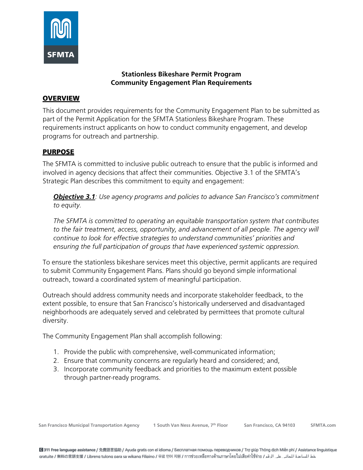

#### **Stationless Bikeshare Permit Program Community Engagement Plan Requirements**

#### **OVERVIEW**

This document provides requirements for the Community Engagement Plan to be submitted as part of the Permit Application for the SFMTA Stationless Bikeshare Program. These requirements instruct applicants on how to conduct community engagement, and develop programs for outreach and partnership.

### PURPOSE

The SFMTA is committed to inclusive public outreach to ensure that the public is informed and involved in agency decisions that affect their communities. Objective 3.1 of the SFMTA's Strategic Plan describes this commitment to equity and engagement:

*Objective 3.1: Use agency programs and policies to advance San Francisco's commitment to equity.*

*The SFMTA is committed to operating an equitable transportation system that contributes*  to the fair treatment, access, opportunity, and advancement of all people. The agency will *continue to look for effective strategies to understand communities' priorities and ensuring the full participation of groups that have experienced systemic oppression.*

To ensure the stationless bikeshare services meet this objective, permit applicants are required to submit Community Engagement Plans. Plans should go beyond simple informational outreach, toward a coordinated system of meaningful participation.

Outreach should address community needs and incorporate stakeholder feedback, to the extent possible, to ensure that San Francisco's historically underserved and disadvantaged neighborhoods are adequately served and celebrated by permittees that promote cultural diversity.

The Community Engagement Plan shall accomplish following:

- 1. Provide the public with comprehensive, well-communicated information;
- 2. Ensure that community concerns are regularly heard and considered; and,
- 3. Incorporate community feedback and priorities to the maximum extent possible through partner-ready programs.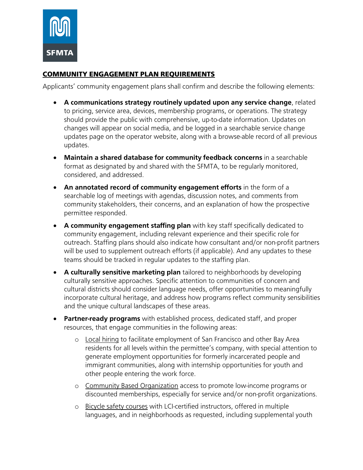

### COMMUNITY ENGAGEMENT PLAN REQUIREMENTS

Applicants' community engagement plans shall confirm and describe the following elements:

- **A communications strategy routinely updated upon any service change**, related to pricing, service area, devices, membership programs, or operations. The strategy should provide the public with comprehensive, up-to-date information. Updates on changes will appear on social media, and be logged in a searchable service change updates page on the operator website, along with a browse-able record of all previous updates.
- **Maintain a shared database for community feedback concerns** in a searchable format as designated by and shared with the SFMTA, to be regularly monitored, considered, and addressed.
- **An annotated record of community engagement efforts** in the form of a searchable log of meetings with agendas, discussion notes, and comments from community stakeholders, their concerns, and an explanation of how the prospective permittee responded.
- **A community engagement staffing plan** with key staff specifically dedicated to community engagement, including relevant experience and their specific role for outreach. Staffing plans should also indicate how consultant and/or non-profit partners will be used to supplement outreach efforts (if applicable). And any updates to these teams should be tracked in regular updates to the staffing plan.
- **A culturally sensitive marketing plan** tailored to neighborhoods by developing culturally sensitive approaches. Specific attention to communities of concern and cultural districts should consider language needs, offer opportunities to meaningfully incorporate cultural heritage, and address how programs reflect community sensibilities and the unique cultural landscapes of these areas.
- **Partner-ready programs** with established process, dedicated staff, and proper resources, that engage communities in the following areas:
	- o Local hiring to facilitate employment of San Francisco and other Bay Area residents for all levels within the permittee's company, with special attention to generate employment opportunities for formerly incarcerated people and immigrant communities, along with internship opportunities for youth and other people entering the work force.
	- o Community Based Organization access to promote low-income programs or discounted memberships, especially for service and/or non-profit organizations.
	- o Bicycle safety courses with LCI-certified instructors, offered in multiple languages, and in neighborhoods as requested, including supplemental youth